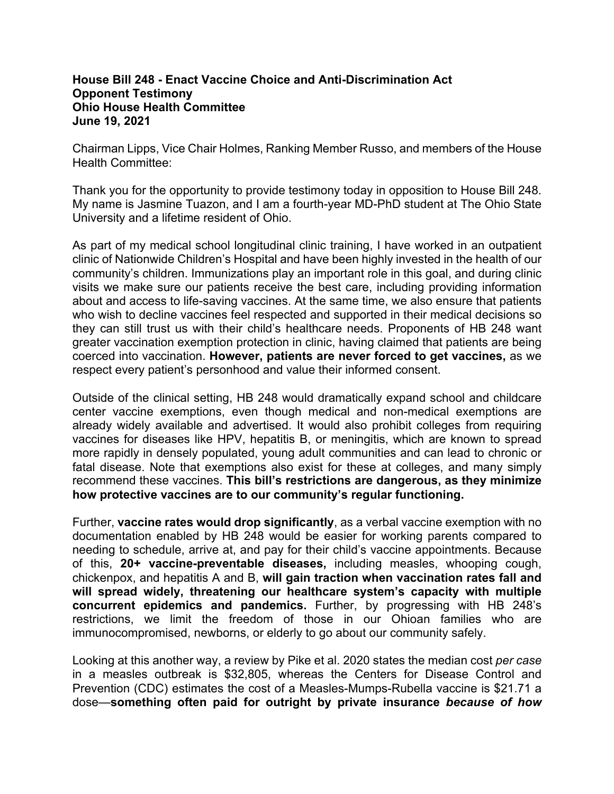## **House Bill 248 - Enact Vaccine Choice and Anti-Discrimination Act Opponent Testimony Ohio House Health Committee June 19, 2021**

Chairman Lipps, Vice Chair Holmes, Ranking Member Russo, and members of the House Health Committee:

Thank you for the opportunity to provide testimony today in opposition to House Bill 248. My name is Jasmine Tuazon, and I am a fourth-year MD-PhD student at The Ohio State University and a lifetime resident of Ohio.

As part of my medical school longitudinal clinic training, I have worked in an outpatient clinic of Nationwide Children's Hospital and have been highly invested in the health of our community's children. Immunizations play an important role in this goal, and during clinic visits we make sure our patients receive the best care, including providing information about and access to life-saving vaccines. At the same time, we also ensure that patients who wish to decline vaccines feel respected and supported in their medical decisions so they can still trust us with their child's healthcare needs. Proponents of HB 248 want greater vaccination exemption protection in clinic, having claimed that patients are being coerced into vaccination. **However, patients are never forced to get vaccines,** as we respect every patient's personhood and value their informed consent.

Outside of the clinical setting, HB 248 would dramatically expand school and childcare center vaccine exemptions, even though medical and non-medical exemptions are already widely available and advertised. It would also prohibit colleges from requiring vaccines for diseases like HPV, hepatitis B, or meningitis, which are known to spread more rapidly in densely populated, young adult communities and can lead to chronic or fatal disease. Note that exemptions also exist for these at colleges, and many simply recommend these vaccines. **This bill's restrictions are dangerous, as they minimize how protective vaccines are to our community's regular functioning.**

Further, **vaccine rates would drop significantly**, as a verbal vaccine exemption with no documentation enabled by HB 248 would be easier for working parents compared to needing to schedule, arrive at, and pay for their child's vaccine appointments. Because of this, **20+ vaccine-preventable diseases,** including measles, whooping cough, chickenpox, and hepatitis A and B, **will gain traction when vaccination rates fall and will spread widely, threatening our healthcare system's capacity with multiple concurrent epidemics and pandemics.** Further, by progressing with HB 248's restrictions, we limit the freedom of those in our Ohioan families who are immunocompromised, newborns, or elderly to go about our community safely.

Looking at this another way, a review by Pike et al. 2020 states the median cost *per case*  in a measles outbreak is \$32,805, whereas the Centers for Disease Control and Prevention (CDC) estimates the cost of a Measles-Mumps-Rubella vaccine is \$21.71 a dose—**something often paid for outright by private insurance** *because of how*